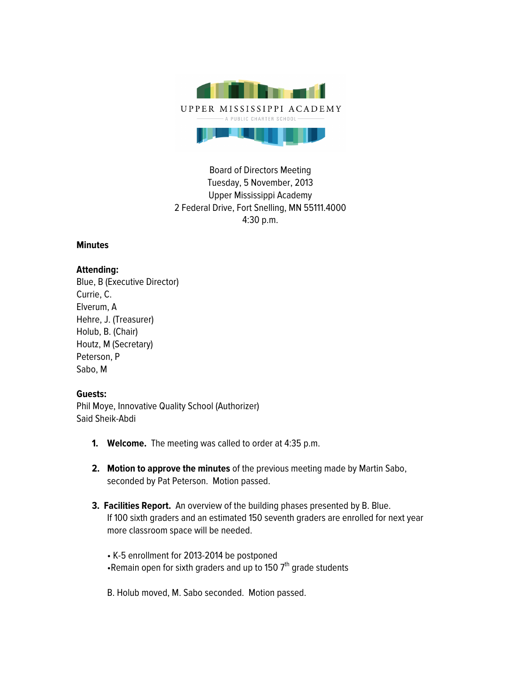

Board of Directors Meeting Tuesday, 5 November, 2013 Upper Mississippi Academy 2 Federal Drive, Fort Snelling, MN 55111.4000 4:30 p.m.

## **Minutes**

## **Attending:**

Blue, B (Executive Director) Currie, C. Elverum, A Hehre, J. (Treasurer) Holub, B. (Chair) Houtz, M (Secretary) Peterson, P Sabo, M

## **Guests:**

Phil Moye, Innovative Quality School (Authorizer) Said Sheik-Abdi

- **1. Welcome.** The meeting was called to order at 4:35 p.m.
- **2. Motion to approve the minutes** of the previous meeting made by Martin Sabo, seconded by Pat Peterson. Motion passed.
- **3. Facilities Report.** An overview of the building phases presented by B. Blue. If 100 sixth graders and an estimated 150 seventh graders are enrolled for next year more classroom space will be needed.
	- K-5 enrollment for 2013-2014 be postponed •Remain open for sixth graders and up to 150  $7<sup>th</sup>$  grade students
	- B. Holub moved, M. Sabo seconded. Motion passed.